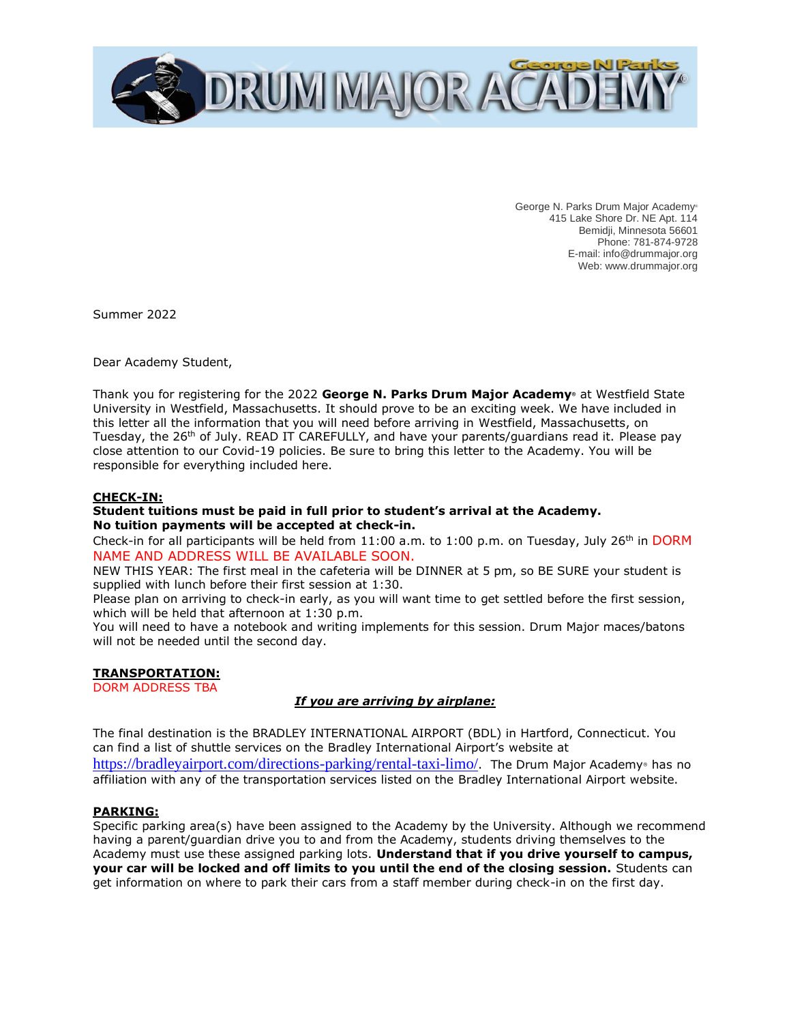

George N. Parks Drum Major Academy® 415 Lake Shore Dr. NE Apt. 114 Bemidji, Minnesota 56601 Phone: 781-874-9728 E-mail: info@drummajor.org Web: www.drummajor.org

Summer 2022

Dear Academy Student,

Thank you for registering for the 2022 **George N. Parks Drum Major Academy®** at Westfield State University in Westfield, Massachusetts. It should prove to be an exciting week. We have included in this letter all the information that you will need before arriving in Westfield, Massachusetts, on Tuesday, the 26<sup>th</sup> of July. READ IT CAREFULLY, and have your parents/guardians read it. Please pay close attention to our Covid-19 policies. Be sure to bring this letter to the Academy. You will be responsible for everything included here.

#### **CHECK-IN:**

#### **Student tuitions must be paid in full prior to student's arrival at the Academy. No tuition payments will be accepted at check-in.**

Check-in for all participants will be held from  $11:00$  a.m. to  $1:00$  p.m. on Tuesday, July 26<sup>th</sup> in DORM NAME AND ADDRESS WILL BE AVAILABLE SOON.

NEW THIS YEAR: The first meal in the cafeteria will be DINNER at 5 pm, so BE SURE your student is supplied with lunch before their first session at 1:30.

Please plan on arriving to check-in early, as you will want time to get settled before the first session, which will be held that afternoon at 1:30 p.m.

You will need to have a notebook and writing implements for this session. Drum Major maces/batons will not be needed until the second day.

#### **TRANSPORTATION:**

DORM ADDRESS TBA

#### *If you are arriving by airplane:*

The final destination is the BRADLEY INTERNATIONAL AIRPORT (BDL) in Hartford, Connecticut. You can find a list of shuttle services on the Bradley International Airport's website at <https://bradleyairport.com/directions-parking/rental-taxi-limo/>. The Drum Major Academy® has no affiliation with any of the transportation services listed on the Bradley International Airport website.

#### **PARKING:**

Specific parking area(s) have been assigned to the Academy by the University. Although we recommend having a parent/guardian drive you to and from the Academy, students driving themselves to the Academy must use these assigned parking lots. **Understand that if you drive yourself to campus, your car will be locked and off limits to you until the end of the closing session.** Students can get information on where to park their cars from a staff member during check-in on the first day.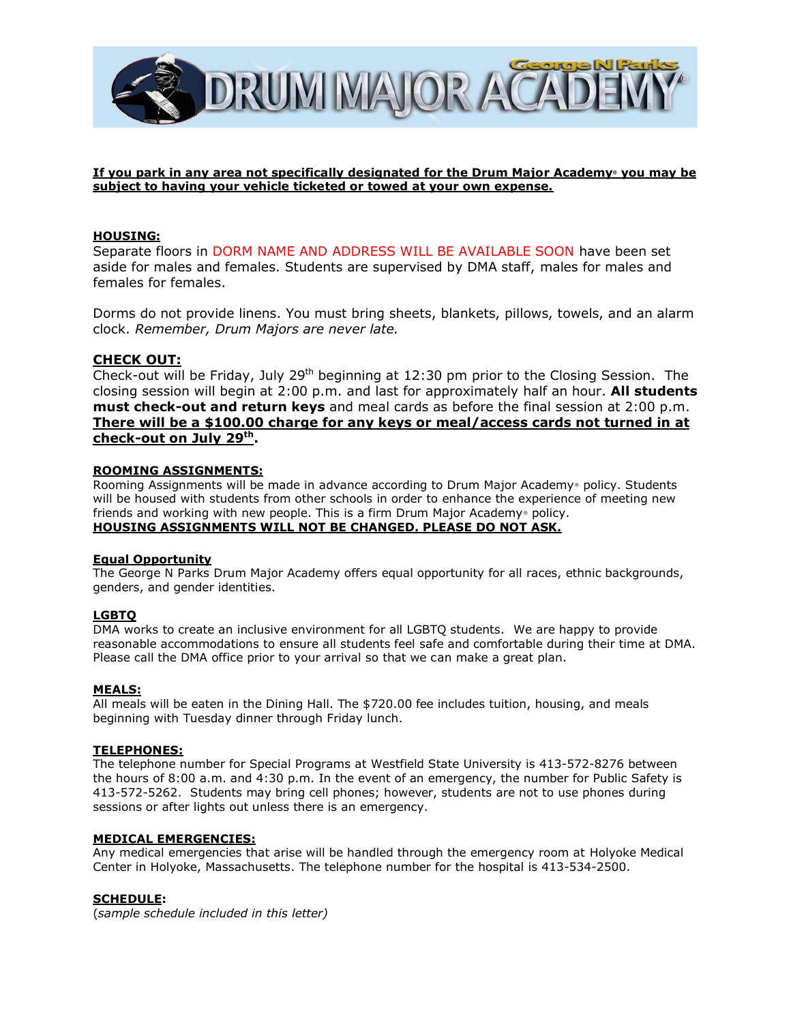

#### **If you park in any area not specifically designated for the Drum Major Academy® you may be subject to having your vehicle ticketed or towed at your own expense.**

#### **HOUSING:**

Separate floors in DORM NAME AND ADDRESS WILL BE AVAILABLE SOON have been set aside for males and females. Students are supervised by DMA staff, males for males and females for females.

Dorms do not provide linens. You must bring sheets, blankets, pillows, towels, and an alarm clock. *Remember, Drum Majors are never late.*

### **CHECK OUT:**

Check-out will be Friday, July 29<sup>th</sup> beginning at 12:30 pm prior to the Closing Session. The closing session will begin at 2:00 p.m. and last for approximately half an hour. **All students must check-out and return keys** and meal cards as before the final session at 2:00 p.m. **There will be a \$100.00 charge for any keys or meal/access cards not turned in at check-out on July 29 th .**

#### **ROOMING ASSIGNMENTS:**

Rooming Assignments will be made in advance according to Drum Major Academy® policy. Students will be housed with students from other schools in order to enhance the experience of meeting new friends and working with new people. This is a firm Drum Major Academy® policy. **HOUSING ASSIGNMENTS WILL NOT BE CHANGED. PLEASE DO NOT ASK.**

#### **Equal Opportunity**

The George N Parks Drum Major Academy offers equal opportunity for all races, ethnic backgrounds, genders, and gender identities.

#### **LGBTQ**

DMA works to create an inclusive environment for all LGBTQ students. We are happy to provide reasonable accommodations to ensure all students feel safe and comfortable during their time at DMA. Please call the DMA office prior to your arrival so that we can make a great plan.

#### **MEALS:**

All meals will be eaten in the Dining Hall. The \$720.00 fee includes tuition, housing, and meals beginning with Tuesday dinner through Friday lunch.

#### **TELEPHONES:**

The telephone number for Special Programs at Westfield State University is 413-572-8276 between the hours of 8:00 a.m. and 4:30 p.m. In the event of an emergency, the number for Public Safety is 413-572-5262. Students may bring cell phones; however, students are not to use phones during sessions or after lights out unless there is an emergency.

#### **MEDICAL EMERGENCIES:**

Any medical emergencies that arise will be handled through the emergency room at Holyoke Medical Center in Holyoke, Massachusetts. The telephone number for the hospital is 413-534-2500.

#### **SCHEDULE:**

(*sample schedule included in this letter)*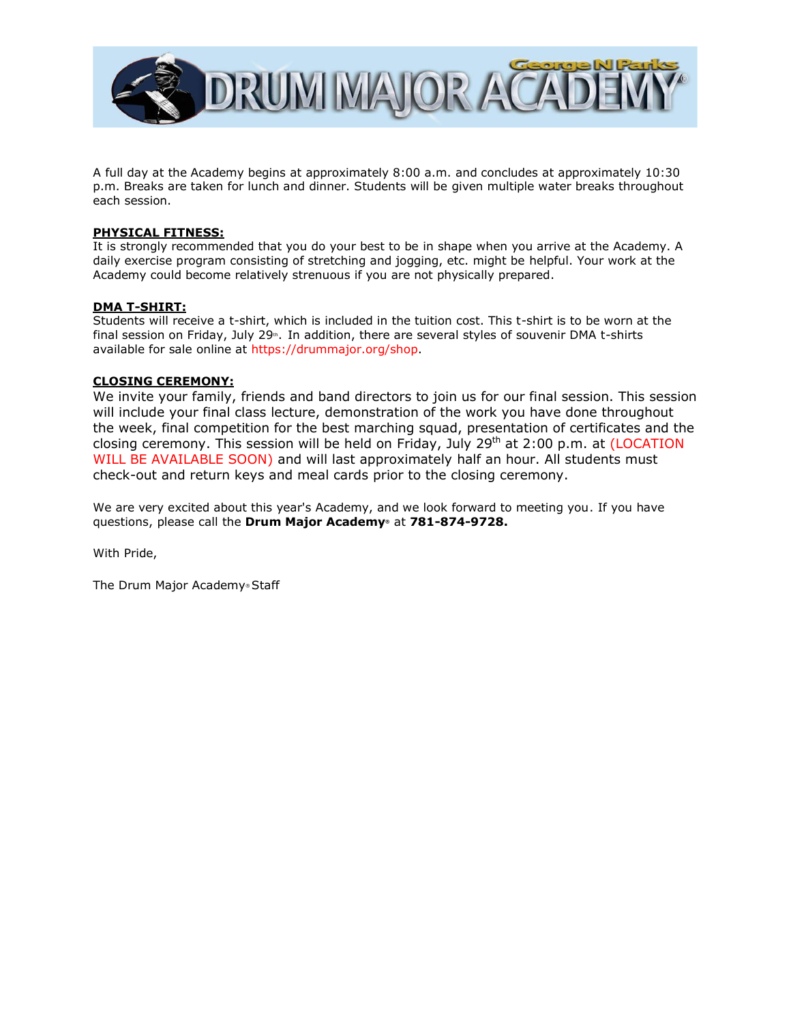

A full day at the Academy begins at approximately 8:00 a.m. and concludes at approximately 10:30 p.m. Breaks are taken for lunch and dinner. Students will be given multiple water breaks throughout each session.

#### **PHYSICAL FITNESS:**

It is strongly recommended that you do your best to be in shape when you arrive at the Academy. A daily exercise program consisting of stretching and jogging, etc. might be helpful. Your work at the Academy could become relatively strenuous if you are not physically prepared.

#### **DMA T-SHIRT:**

Students will receive a t-shirt, which is included in the tuition cost. This t-shirt is to be worn at the final session on Friday, July 29<sup>th</sup>. In addition, there are several styles of souvenir DMA t-shirts available for sale online at https://drummajor.org/shop.

#### **CLOSING CEREMONY:**

We invite your family, friends and band directors to join us for our final session. This session will include your final class lecture, demonstration of the work you have done throughout the week, final competition for the best marching squad, presentation of certificates and the closing ceremony. This session will be held on Friday, July 29<sup>th</sup> at 2:00 p.m. at (LOCATION WILL BE AVAILABLE SOON) and will last approximately half an hour. All students must check-out and return keys and meal cards prior to the closing ceremony.

We are very excited about this year's Academy, and we look forward to meeting you. If you have questions, please call the **Drum Major Academy®** at **781-874-9728.**

With Pride,

The Drum Major Academy® Staff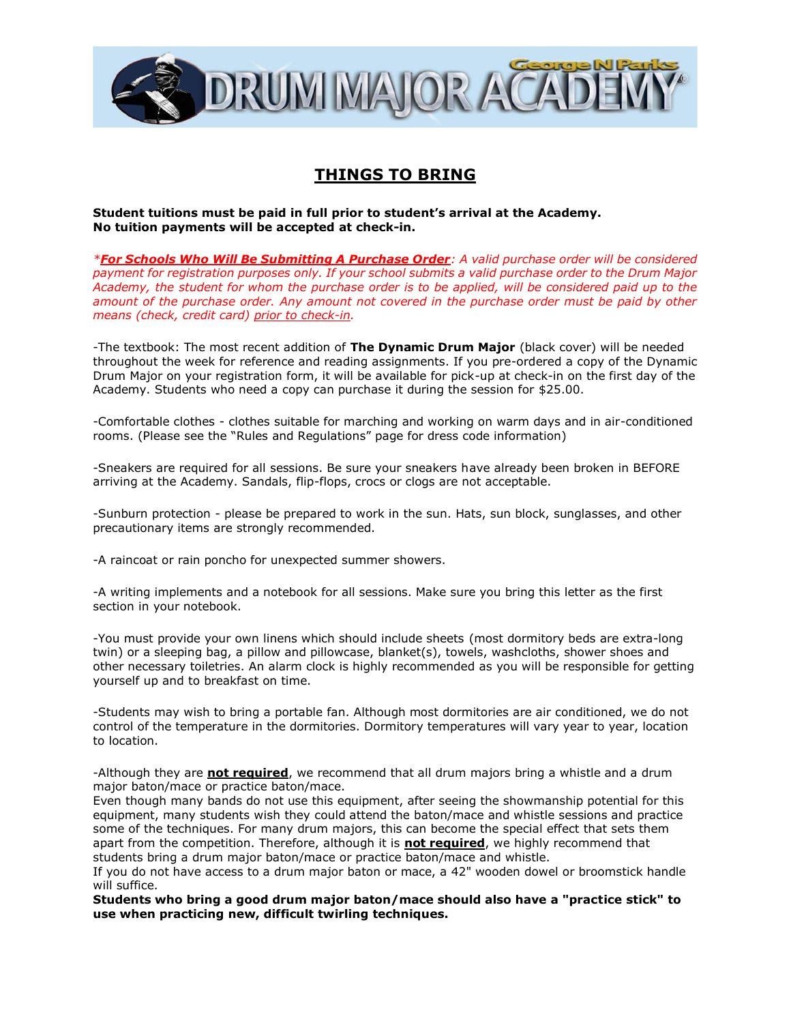

# **THINGS TO BRING**

**Student tuitions must be paid in full prior to student's arrival at the Academy. No tuition payments will be accepted at check-in.**

*\*For Schools Who Will Be Submitting A Purchase Order: A valid purchase order will be considered payment for registration purposes only. If your school submits a valid purchase order to the Drum Major Academy, the student for whom the purchase order is to be applied, will be considered paid up to the amount of the purchase order. Any amount not covered in the purchase order must be paid by other means (check, credit card) prior to check-in.*

-The textbook: The most recent addition of **The Dynamic Drum Major** (black cover) will be needed throughout the week for reference and reading assignments. If you pre-ordered a copy of the Dynamic Drum Major on your registration form, it will be available for pick-up at check-in on the first day of the Academy. Students who need a copy can purchase it during the session for \$25.00.

-Comfortable clothes - clothes suitable for marching and working on warm days and in air-conditioned rooms. (Please see the "Rules and Regulations" page for dress code information)

-Sneakers are required for all sessions. Be sure your sneakers have already been broken in BEFORE arriving at the Academy. Sandals, flip-flops, crocs or clogs are not acceptable.

-Sunburn protection - please be prepared to work in the sun. Hats, sun block, sunglasses, and other precautionary items are strongly recommended.

-A raincoat or rain poncho for unexpected summer showers.

-A writing implements and a notebook for all sessions. Make sure you bring this letter as the first section in your notebook.

-You must provide your own linens which should include sheets (most dormitory beds are extra-long twin) or a sleeping bag, a pillow and pillowcase, blanket(s), towels, washcloths, shower shoes and other necessary toiletries. An alarm clock is highly recommended as you will be responsible for getting yourself up and to breakfast on time.

-Students may wish to bring a portable fan. Although most dormitories are air conditioned, we do not control of the temperature in the dormitories. Dormitory temperatures will vary year to year, location to location.

-Although they are **not required**, we recommend that all drum majors bring a whistle and a drum major baton/mace or practice baton/mace.

Even though many bands do not use this equipment, after seeing the showmanship potential for this equipment, many students wish they could attend the baton/mace and whistle sessions and practice some of the techniques. For many drum majors, this can become the special effect that sets them apart from the competition. Therefore, although it is **not required**, we highly recommend that students bring a drum major baton/mace or practice baton/mace and whistle.

If you do not have access to a drum major baton or mace, a 42" wooden dowel or broomstick handle will suffice.

**Students who bring a good drum major baton/mace should also have a "practice stick" to use when practicing new, difficult twirling techniques.**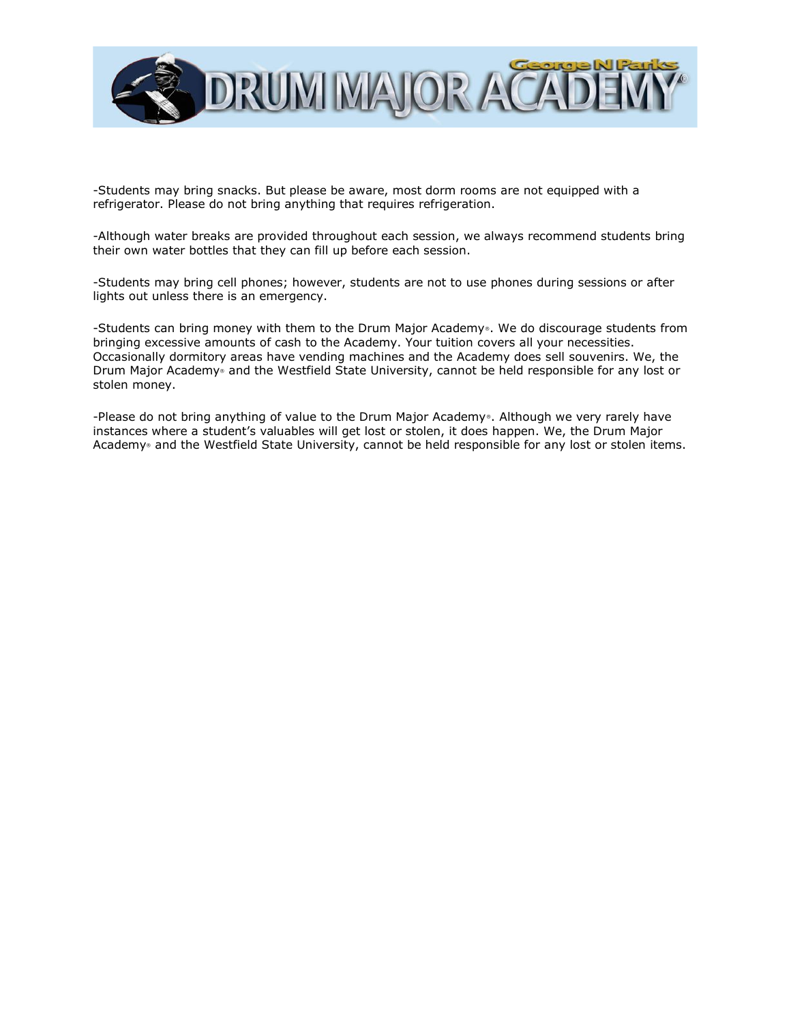

-Students may bring snacks. But please be aware, most dorm rooms are not equipped with a refrigerator. Please do not bring anything that requires refrigeration.

-Although water breaks are provided throughout each session, we always recommend students bring their own water bottles that they can fill up before each session.

-Students may bring cell phones; however, students are not to use phones during sessions or after lights out unless there is an emergency.

-Students can bring money with them to the Drum Major Academy®. We do discourage students from bringing excessive amounts of cash to the Academy. Your tuition covers all your necessities. Occasionally dormitory areas have vending machines and the Academy does sell souvenirs. We, the Drum Major Academy® and the Westfield State University, cannot be held responsible for any lost or stolen money.

-Please do not bring anything of value to the Drum Major Academy®. Although we very rarely have instances where a student's valuables will get lost or stolen, it does happen. We, the Drum Major Academy® and the Westfield State University, cannot be held responsible for any lost or stolen items.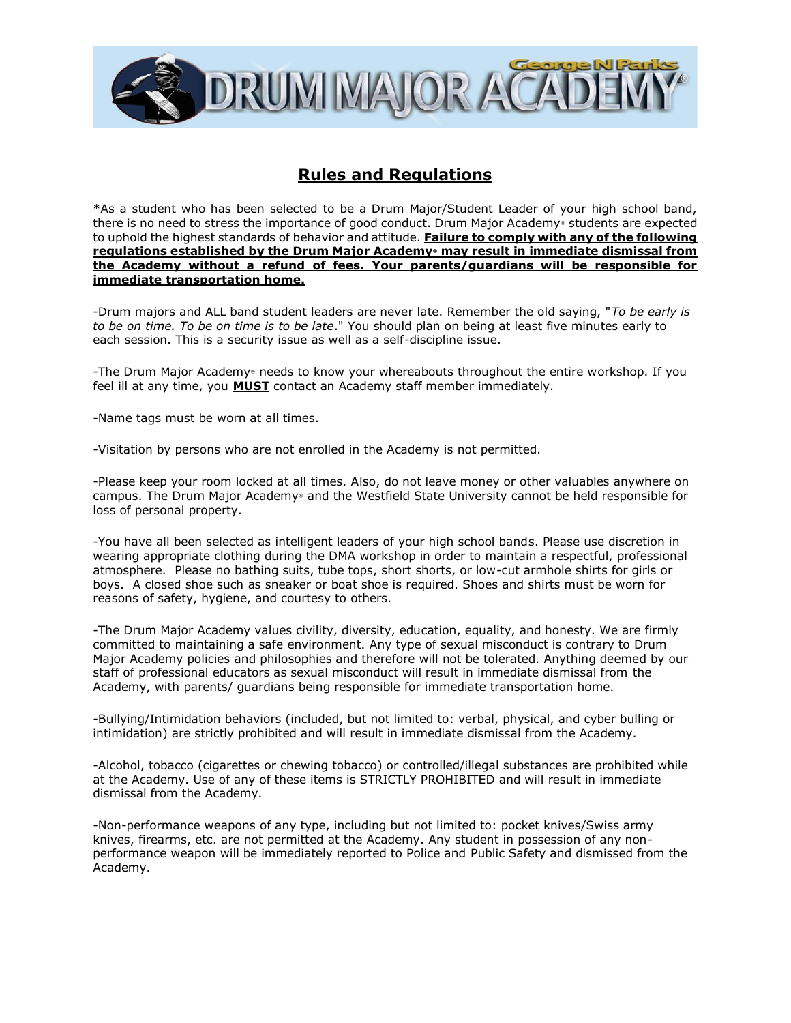

# **Rules and Regulations**

\*As a student who has been selected to be a Drum Major/Student Leader of your high school band, there is no need to stress the importance of good conduct. Drum Major Academy® students are expected to uphold the highest standards of behavior and attitude. **Failure to comply with any of the following regulations established by the Drum Major Academy® may result in immediate dismissal from the Academy without a refund of fees. Your parents/guardians will be responsible for immediate transportation home.**

-Drum majors and ALL band student leaders are never late. Remember the old saying, "*To be early is to be on time. To be on time is to be late*." You should plan on being at least five minutes early to each session. This is a security issue as well as a self-discipline issue.

-The Drum Major Academy® needs to know your whereabouts throughout the entire workshop. If you feel ill at any time, you **MUST** contact an Academy staff member immediately.

-Name tags must be worn at all times.

-Visitation by persons who are not enrolled in the Academy is not permitted.

-Please keep your room locked at all times. Also, do not leave money or other valuables anywhere on campus. The Drum Major Academy® and the Westfield State University cannot be held responsible for loss of personal property.

-You have all been selected as intelligent leaders of your high school bands. Please use discretion in wearing appropriate clothing during the DMA workshop in order to maintain a respectful, professional atmosphere. Please no bathing suits, tube tops, short shorts, or low-cut armhole shirts for girls or boys. A closed shoe such as sneaker or boat shoe is required. Shoes and shirts must be worn for reasons of safety, hygiene, and courtesy to others.

-The Drum Major Academy values civility, diversity, education, equality, and honesty. We are firmly committed to maintaining a safe environment. Any type of sexual misconduct is contrary to Drum Major Academy policies and philosophies and therefore will not be tolerated. Anything deemed by our staff of professional educators as sexual misconduct will result in immediate dismissal from the Academy, with parents/ guardians being responsible for immediate transportation home.

-Bullying/Intimidation behaviors (included, but not limited to: verbal, physical, and cyber bulling or intimidation) are strictly prohibited and will result in immediate dismissal from the Academy.

-Alcohol, tobacco (cigarettes or chewing tobacco) or controlled/illegal substances are prohibited while at the Academy. Use of any of these items is STRICTLY PROHIBITED and will result in immediate dismissal from the Academy.

-Non-performance weapons of any type, including but not limited to: pocket knives/Swiss army knives, firearms, etc. are not permitted at the Academy. Any student in possession of any nonperformance weapon will be immediately reported to Police and Public Safety and dismissed from the Academy.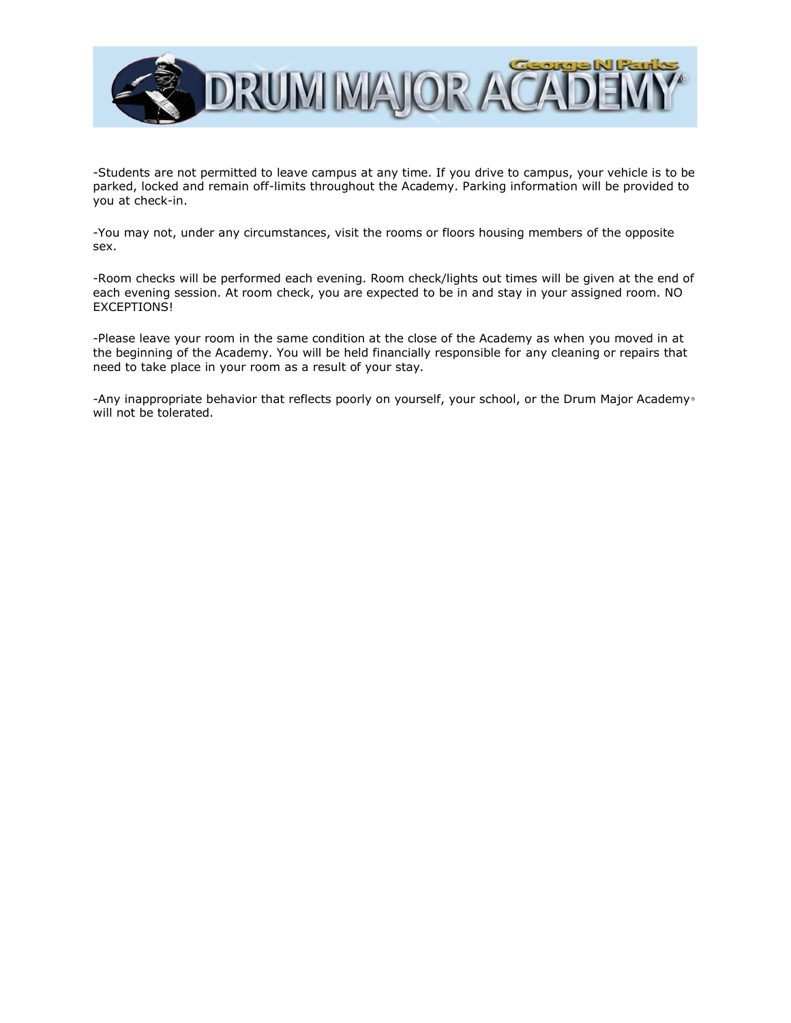

-Students are not permitted to leave campus at any time. If you drive to campus, your vehicle is to be parked, locked and remain off-limits throughout the Academy. Parking information will be provided to you at check-in.

-You may not, under any circumstances, visit the rooms or floors housing members of the opposite sex.

-Room checks will be performed each evening. Room check/lights out times will be given at the end of each evening session. At room check, you are expected to be in and stay in your assigned room. NO EXCEPTIONS!

-Please leave your room in the same condition at the close of the Academy as when you moved in at the beginning of the Academy. You will be held financially responsible for any cleaning or repairs that need to take place in your room as a result of your stay.

-Any inappropriate behavior that reflects poorly on yourself, your school, or the Drum Major Academy® will not be tolerated.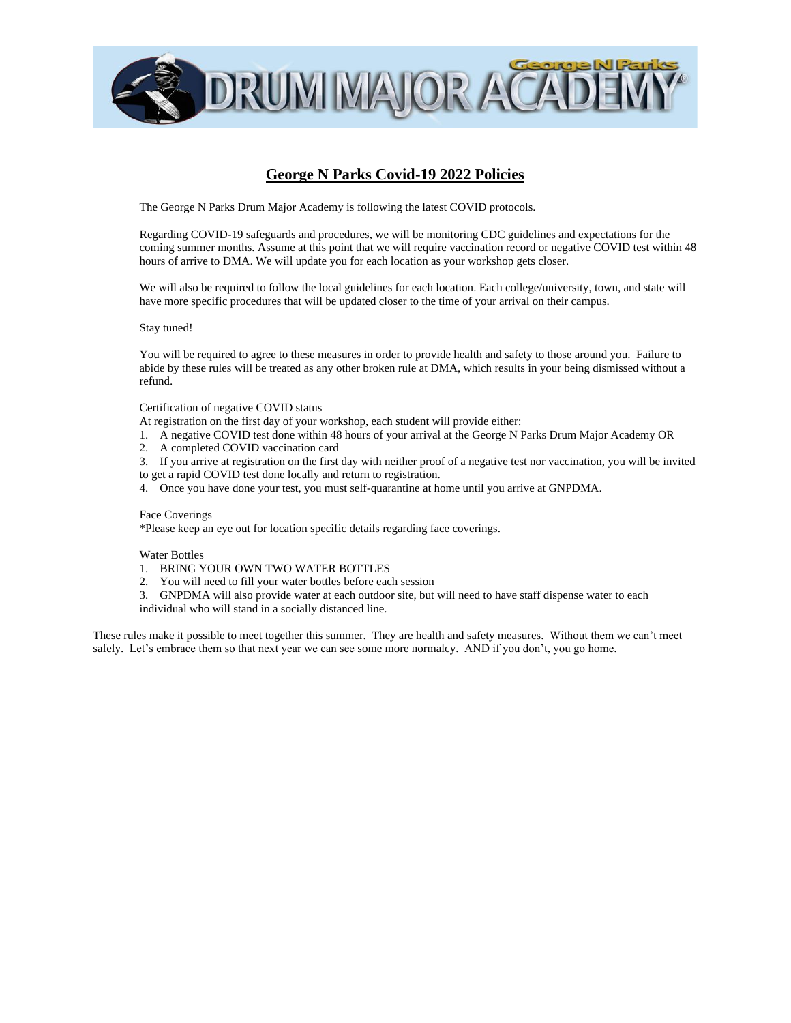

## **George N Parks Covid-19 2022 Policies**

The George N Parks Drum Major Academy is following the latest COVID protocols.

Regarding COVID-19 safeguards and procedures, we will be monitoring CDC guidelines and expectations for the coming summer months. Assume at this point that we will require vaccination record or negative COVID test within 48 hours of arrive to DMA. We will update you for each location as your workshop gets closer.

We will also be required to follow the local guidelines for each location. Each college/university, town, and state will have more specific procedures that will be updated closer to the time of your arrival on their campus.

Stay tuned!

You will be required to agree to these measures in order to provide health and safety to those around you. Failure to abide by these rules will be treated as any other broken rule at DMA, which results in your being dismissed without a refund.

Certification of negative COVID status

At registration on the first day of your workshop, each student will provide either:

- 1. A negative COVID test done within 48 hours of your arrival at the George N Parks Drum Major Academy OR
- 2. A completed COVID vaccination card
- 3. If you arrive at registration on the first day with neither proof of a negative test nor vaccination, you will be invited to get a rapid COVID test done locally and return to registration.
- 4. Once you have done your test, you must self-quarantine at home until you arrive at GNPDMA.

#### Face Coverings

\*Please keep an eye out for location specific details regarding face coverings.

#### Water Bottles

- 1. BRING YOUR OWN TWO WATER BOTTLES
- 2. You will need to fill your water bottles before each session
- 3. GNPDMA will also provide water at each outdoor site, but will need to have staff dispense water to each individual who will stand in a socially distanced line.

These rules make it possible to meet together this summer. They are health and safety measures. Without them we can't meet safely. Let's embrace them so that next year we can see some more normalcy. AND if you don't, you go home.